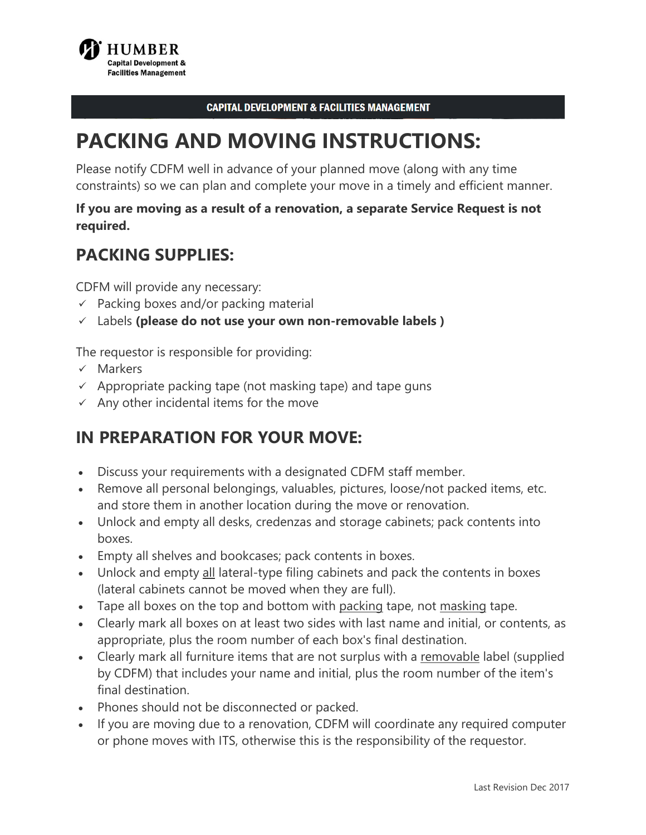

#### **CAPITAL DEVELOPMENT & FACILITIES MANAGEMENT**

# **PACKING AND MOVING INSTRUCTIONS:**

 constraints) so we can plan and complete your move in a timely and efficient manner. Please notify CDFM well in advance of your planned move (along with any time

### **If you are moving as a result of a renovation, a separate Service Request is not required.**

### **PACKING SUPPLIES:**

CDFM will provide any necessary:

- $\checkmark$  Packing boxes and/or packing material
- Labels **(please do not use your own non-removable labels )**

The requestor is responsible for providing:

- $\times$  Markers
- $\checkmark$  Appropriate packing tape (not masking tape) and tape guns
- $\checkmark$  Any other incidental items for the move

## **IN PREPARATION FOR YOUR MOVE:**

- Discuss your requirements with a designated CDFM staff member.
- Remove all personal belongings, valuables, pictures, loose/not packed items, etc. and store them in another location during the move or renovation.
- Unlock and empty all desks, credenzas and storage cabinets; pack contents into boxes.
- Empty all shelves and bookcases; pack contents in boxes.
- Unlock and empty all lateral-type filing cabinets and pack the contents in boxes (lateral cabinets cannot be moved when they are full).
- Tape all boxes on the top and bottom with <u>packing</u> tape, not <u>masking</u> tape.
- Clearly mark all boxes on at least two sides with last name and initial, or contents, as appropriate, plus the room number of each box's final destination.
- Clearly mark all furniture items that are not surplus with a removable label (supplied by CDFM) that includes your name and initial, plus the room number of the item's final destination.
- Phones should not be disconnected or packed.
- If you are moving due to a renovation, CDFM will coordinate any required computer or phone moves with ITS, otherwise this is the responsibility of the requestor.